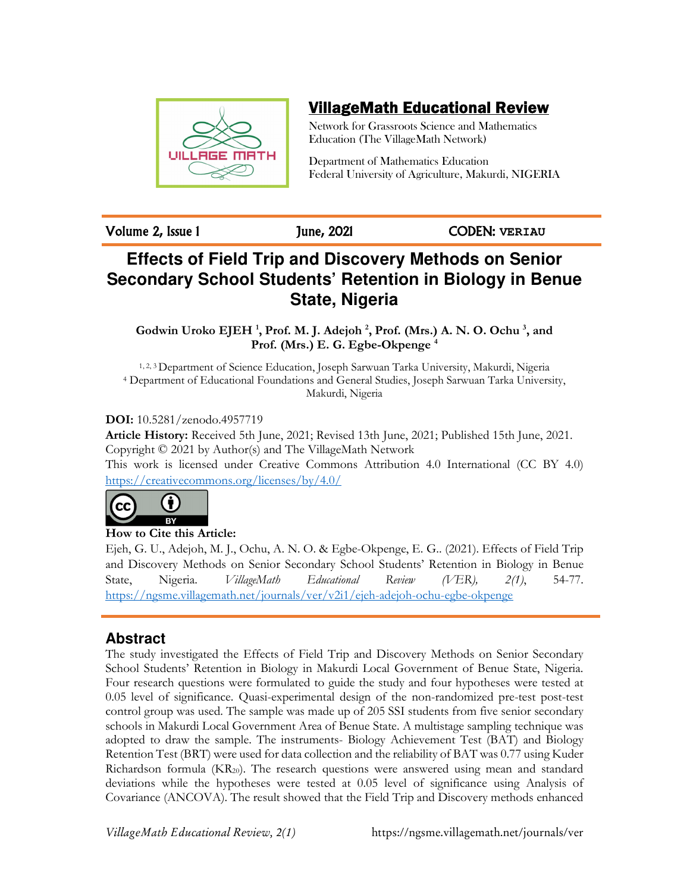

# VillageMath Educational Review

Network for Grassroots Science and Mathematics Education (The VillageMath Network)

Department of Mathematics Education Federal University of Agriculture, Makurdi, NIGERIA

Volume 2, Issue 1 June, 2021 CODEN: **VERIAU**

# **Effects of Field Trip and Discovery Methods on Senior Secondary School Students' Retention in Biology in Benue State, Nigeria**

**Godwin Uroko EJEH <sup>1</sup> , Prof. M. J. Adejoh <sup>2</sup> , Prof. (Mrs.) A. N. O. Ochu <sup>3</sup> , and Prof. (Mrs.) E. G. Egbe-Okpenge <sup>4</sup>**

1, 2, 3 Department of Science Education, Joseph Sarwuan Tarka University, Makurdi, Nigeria <sup>4</sup> Department of Educational Foundations and General Studies, Joseph Sarwuan Tarka University, Makurdi, Nigeria

# **DOI:** 10.5281/zenodo.4957719

**Article History:** Received 5th June, 2021; Revised 13th June, 2021; Published 15th June, 2021. Copyright © 2021 by Author(s) and The VillageMath Network This work is licensed under Creative Commons Attribution 4.0 International (CC BY 4.0)

https://creativecommons.org/licenses/by/4.0/



Ejeh, G. U., Adejoh, M. J., Ochu, A. N. O. & Egbe-Okpenge, E. G.. (2021). Effects of Field Trip and Discovery Methods on Senior Secondary School Students' Retention in Biology in Benue State, Nigeria. *VillageMath Educational Review (VER), 2(1)*, 54-77. https://ngsme.villagemath.net/journals/ver/v2i1/ejeh-adejoh-ochu-egbe-okpenge

# **Abstract**

The study investigated the Effects of Field Trip and Discovery Methods on Senior Secondary School Students' Retention in Biology in Makurdi Local Government of Benue State, Nigeria. Four research questions were formulated to guide the study and four hypotheses were tested at 0.05 level of significance. Quasi-experimental design of the non-randomized pre-test post-test control group was used. The sample was made up of 205 SSI students from five senior secondary schools in Makurdi Local Government Area of Benue State. A multistage sampling technique was adopted to draw the sample. The instruments- Biology Achievement Test (BAT) and Biology Retention Test (BRT) were used for data collection and the reliability of BAT was 0.77 using Kuder Richardson formula (KR20). The research questions were answered using mean and standard deviations while the hypotheses were tested at 0.05 level of significance using Analysis of Covariance (ANCOVA). The result showed that the Field Trip and Discovery methods enhanced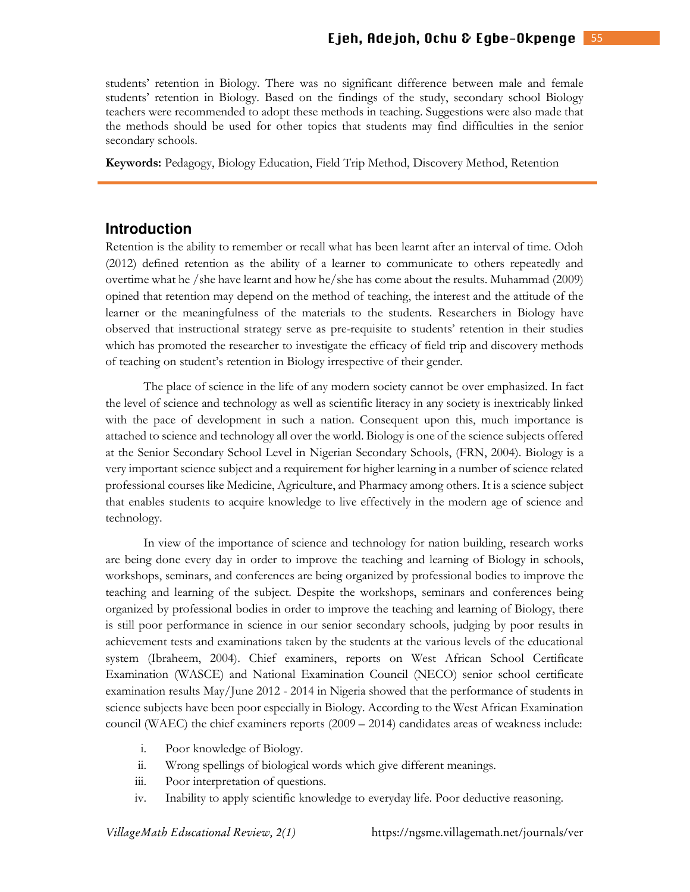students' retention in Biology. There was no significant difference between male and female students' retention in Biology. Based on the findings of the study, secondary school Biology teachers were recommended to adopt these methods in teaching. Suggestions were also made that the methods should be used for other topics that students may find difficulties in the senior secondary schools.

**Keywords:** Pedagogy, Biology Education, Field Trip Method, Discovery Method, Retention

### **Introduction**

Retention is the ability to remember or recall what has been learnt after an interval of time. Odoh (2012) defined retention as the ability of a learner to communicate to others repeatedly and overtime what he /she have learnt and how he/she has come about the results. Muhammad (2009) opined that retention may depend on the method of teaching, the interest and the attitude of the learner or the meaningfulness of the materials to the students. Researchers in Biology have observed that instructional strategy serve as pre-requisite to students' retention in their studies which has promoted the researcher to investigate the efficacy of field trip and discovery methods of teaching on student's retention in Biology irrespective of their gender.

The place of science in the life of any modern society cannot be over emphasized. In fact the level of science and technology as well as scientific literacy in any society is inextricably linked with the pace of development in such a nation. Consequent upon this, much importance is attached to science and technology all over the world. Biology is one of the science subjects offered at the Senior Secondary School Level in Nigerian Secondary Schools, (FRN, 2004). Biology is a very important science subject and a requirement for higher learning in a number of science related professional courses like Medicine, Agriculture, and Pharmacy among others. It is a science subject that enables students to acquire knowledge to live effectively in the modern age of science and technology.

In view of the importance of science and technology for nation building, research works are being done every day in order to improve the teaching and learning of Biology in schools, workshops, seminars, and conferences are being organized by professional bodies to improve the teaching and learning of the subject. Despite the workshops, seminars and conferences being organized by professional bodies in order to improve the teaching and learning of Biology, there is still poor performance in science in our senior secondary schools, judging by poor results in achievement tests and examinations taken by the students at the various levels of the educational system (Ibraheem, 2004). Chief examiners, reports on West African School Certificate Examination (WASCE) and National Examination Council (NECO) senior school certificate examination results May/June 2012 - 2014 in Nigeria showed that the performance of students in science subjects have been poor especially in Biology. According to the West African Examination council (WAEC) the chief examiners reports (2009 – 2014) candidates areas of weakness include:

- i. Poor knowledge of Biology.
- ii. Wrong spellings of biological words which give different meanings.
- iii. Poor interpretation of questions.
- iv. Inability to apply scientific knowledge to everyday life. Poor deductive reasoning.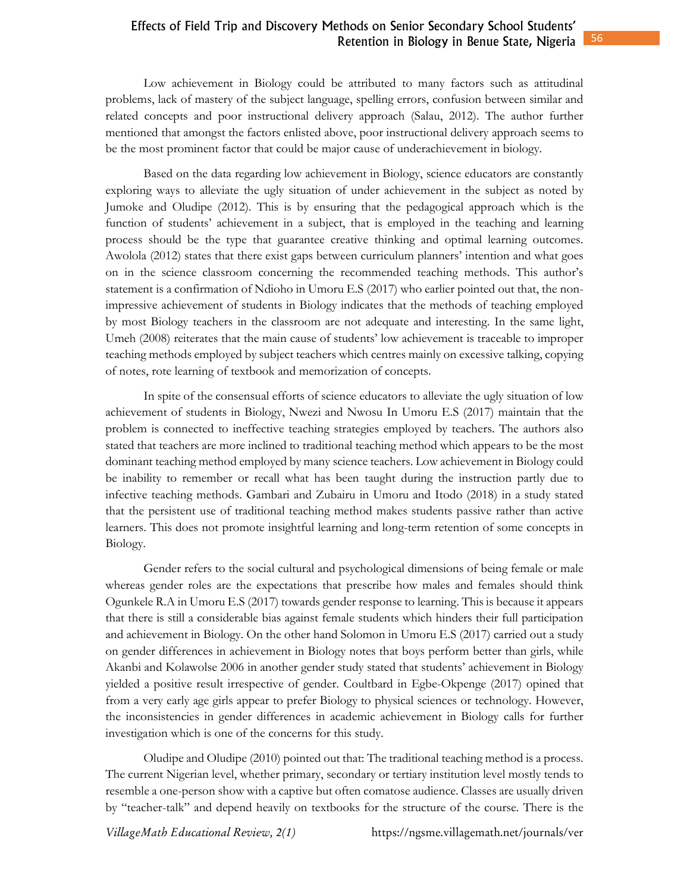Low achievement in Biology could be attributed to many factors such as attitudinal problems, lack of mastery of the subject language, spelling errors, confusion between similar and related concepts and poor instructional delivery approach (Salau, 2012). The author further mentioned that amongst the factors enlisted above, poor instructional delivery approach seems to be the most prominent factor that could be major cause of underachievement in biology.

Based on the data regarding low achievement in Biology, science educators are constantly exploring ways to alleviate the ugly situation of under achievement in the subject as noted by Jumoke and Oludipe (2012). This is by ensuring that the pedagogical approach which is the function of students' achievement in a subject, that is employed in the teaching and learning process should be the type that guarantee creative thinking and optimal learning outcomes. Awolola (2012) states that there exist gaps between curriculum planners' intention and what goes on in the science classroom concerning the recommended teaching methods. This author's statement is a confirmation of Ndioho in Umoru E.S (2017) who earlier pointed out that, the nonimpressive achievement of students in Biology indicates that the methods of teaching employed by most Biology teachers in the classroom are not adequate and interesting. In the same light, Umeh (2008) reiterates that the main cause of students' low achievement is traceable to improper teaching methods employed by subject teachers which centres mainly on excessive talking, copying of notes, rote learning of textbook and memorization of concepts.

In spite of the consensual efforts of science educators to alleviate the ugly situation of low achievement of students in Biology, Nwezi and Nwosu In Umoru E.S (2017) maintain that the problem is connected to ineffective teaching strategies employed by teachers. The authors also stated that teachers are more inclined to traditional teaching method which appears to be the most dominant teaching method employed by many science teachers. Low achievement in Biology could be inability to remember or recall what has been taught during the instruction partly due to infective teaching methods. Gambari and Zubairu in Umoru and Itodo (2018) in a study stated that the persistent use of traditional teaching method makes students passive rather than active learners. This does not promote insightful learning and long-term retention of some concepts in Biology.

Gender refers to the social cultural and psychological dimensions of being female or male whereas gender roles are the expectations that prescribe how males and females should think Ogunkele R.A in Umoru E.S (2017) towards gender response to learning. This is because it appears that there is still a considerable bias against female students which hinders their full participation and achievement in Biology. On the other hand Solomon in Umoru E.S (2017) carried out a study on gender differences in achievement in Biology notes that boys perform better than girls, while Akanbi and Kolawolse 2006 in another gender study stated that students' achievement in Biology yielded a positive result irrespective of gender. Coultbard in Egbe-Okpenge (2017) opined that from a very early age girls appear to prefer Biology to physical sciences or technology. However, the inconsistencies in gender differences in academic achievement in Biology calls for further investigation which is one of the concerns for this study.

Oludipe and Oludipe (2010) pointed out that: The traditional teaching method is a process. The current Nigerian level, whether primary, secondary or tertiary institution level mostly tends to resemble a one-person show with a captive but often comatose audience. Classes are usually driven by "teacher-talk" and depend heavily on textbooks for the structure of the course. There is the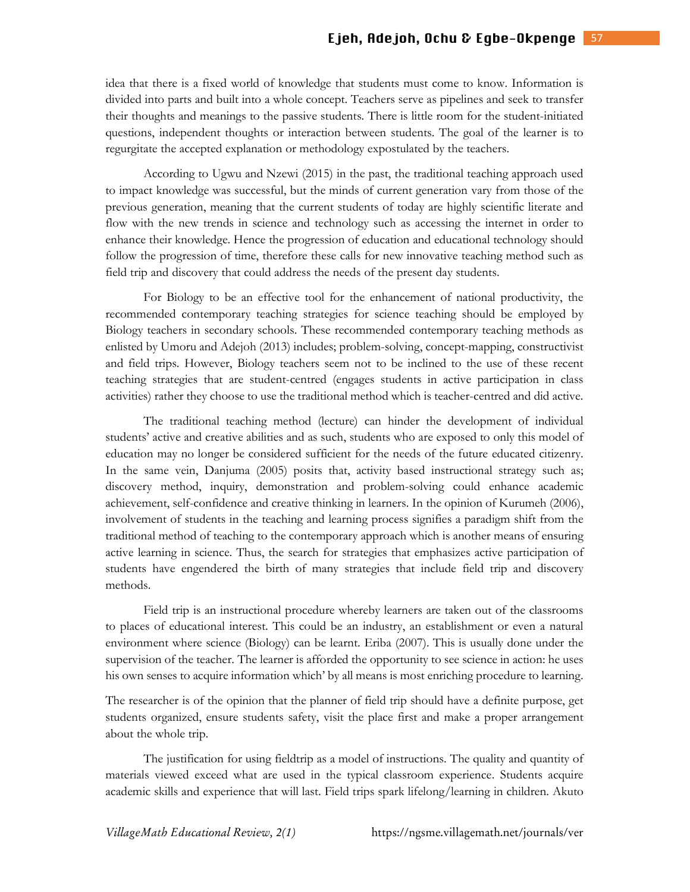idea that there is a fixed world of knowledge that students must come to know. Information is divided into parts and built into a whole concept. Teachers serve as pipelines and seek to transfer their thoughts and meanings to the passive students. There is little room for the student-initiated questions, independent thoughts or interaction between students. The goal of the learner is to regurgitate the accepted explanation or methodology expostulated by the teachers.

According to Ugwu and Nzewi (2015) in the past, the traditional teaching approach used to impact knowledge was successful, but the minds of current generation vary from those of the previous generation, meaning that the current students of today are highly scientific literate and flow with the new trends in science and technology such as accessing the internet in order to enhance their knowledge. Hence the progression of education and educational technology should follow the progression of time, therefore these calls for new innovative teaching method such as field trip and discovery that could address the needs of the present day students.

For Biology to be an effective tool for the enhancement of national productivity, the recommended contemporary teaching strategies for science teaching should be employed by Biology teachers in secondary schools. These recommended contemporary teaching methods as enlisted by Umoru and Adejoh (2013) includes; problem-solving, concept-mapping, constructivist and field trips. However, Biology teachers seem not to be inclined to the use of these recent teaching strategies that are student-centred (engages students in active participation in class activities) rather they choose to use the traditional method which is teacher-centred and did active.

The traditional teaching method (lecture) can hinder the development of individual students' active and creative abilities and as such, students who are exposed to only this model of education may no longer be considered sufficient for the needs of the future educated citizenry. In the same vein, Danjuma (2005) posits that, activity based instructional strategy such as; discovery method, inquiry, demonstration and problem-solving could enhance academic achievement, self-confidence and creative thinking in learners. In the opinion of Kurumeh (2006), involvement of students in the teaching and learning process signifies a paradigm shift from the traditional method of teaching to the contemporary approach which is another means of ensuring active learning in science. Thus, the search for strategies that emphasizes active participation of students have engendered the birth of many strategies that include field trip and discovery methods.

Field trip is an instructional procedure whereby learners are taken out of the classrooms to places of educational interest. This could be an industry, an establishment or even a natural environment where science (Biology) can be learnt. Eriba (2007). This is usually done under the supervision of the teacher. The learner is afforded the opportunity to see science in action: he uses his own senses to acquire information which' by all means is most enriching procedure to learning.

The researcher is of the opinion that the planner of field trip should have a definite purpose, get students organized, ensure students safety, visit the place first and make a proper arrangement about the whole trip.

The justification for using fieldtrip as a model of instructions. The quality and quantity of materials viewed exceed what are used in the typical classroom experience. Students acquire academic skills and experience that will last. Field trips spark lifelong/learning in children. Akuto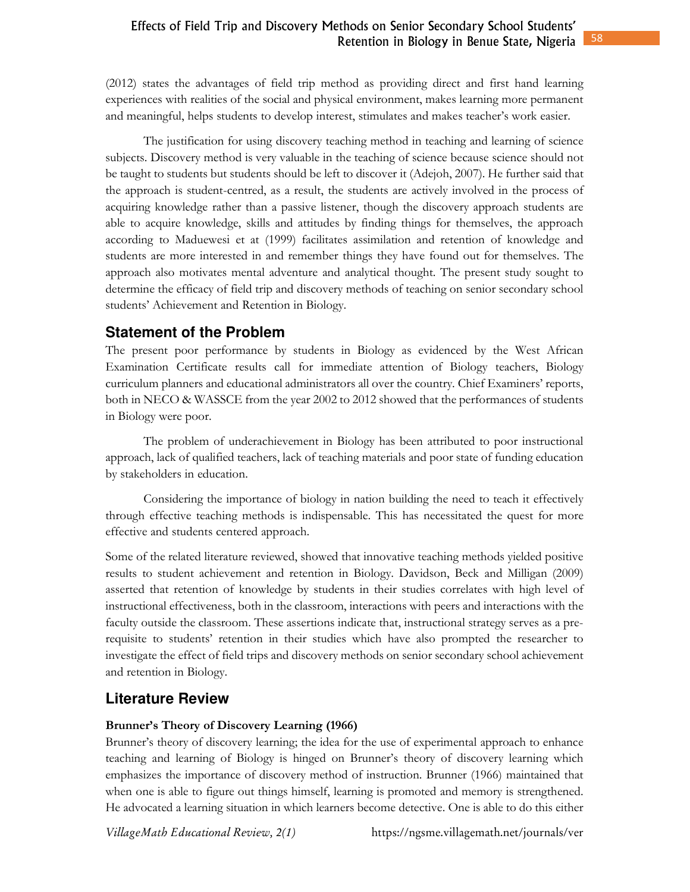(2012) states the advantages of field trip method as providing direct and first hand learning experiences with realities of the social and physical environment, makes learning more permanent and meaningful, helps students to develop interest, stimulates and makes teacher's work easier.

The justification for using discovery teaching method in teaching and learning of science subjects. Discovery method is very valuable in the teaching of science because science should not be taught to students but students should be left to discover it (Adejoh, 2007). He further said that the approach is student-centred, as a result, the students are actively involved in the process of acquiring knowledge rather than a passive listener, though the discovery approach students are able to acquire knowledge, skills and attitudes by finding things for themselves, the approach according to Maduewesi et at (1999) facilitates assimilation and retention of knowledge and students are more interested in and remember things they have found out for themselves. The approach also motivates mental adventure and analytical thought. The present study sought to determine the efficacy of field trip and discovery methods of teaching on senior secondary school students' Achievement and Retention in Biology.

# **Statement of the Problem**

The present poor performance by students in Biology as evidenced by the West African Examination Certificate results call for immediate attention of Biology teachers, Biology curriculum planners and educational administrators all over the country. Chief Examiners' reports, both in NECO & WASSCE from the year 2002 to 2012 showed that the performances of students in Biology were poor.

The problem of underachievement in Biology has been attributed to poor instructional approach, lack of qualified teachers, lack of teaching materials and poor state of funding education by stakeholders in education.

Considering the importance of biology in nation building the need to teach it effectively through effective teaching methods is indispensable. This has necessitated the quest for more effective and students centered approach.

Some of the related literature reviewed, showed that innovative teaching methods yielded positive results to student achievement and retention in Biology. Davidson, Beck and Milligan (2009) asserted that retention of knowledge by students in their studies correlates with high level of instructional effectiveness, both in the classroom, interactions with peers and interactions with the faculty outside the classroom. These assertions indicate that, instructional strategy serves as a prerequisite to students' retention in their studies which have also prompted the researcher to investigate the effect of field trips and discovery methods on senior secondary school achievement and retention in Biology.

# **Literature Review**

### **Brunner's Theory of Discovery Learning (1966)**

Brunner's theory of discovery learning; the idea for the use of experimental approach to enhance teaching and learning of Biology is hinged on Brunner's theory of discovery learning which emphasizes the importance of discovery method of instruction. Brunner (1966) maintained that when one is able to figure out things himself, learning is promoted and memory is strengthened. He advocated a learning situation in which learners become detective. One is able to do this either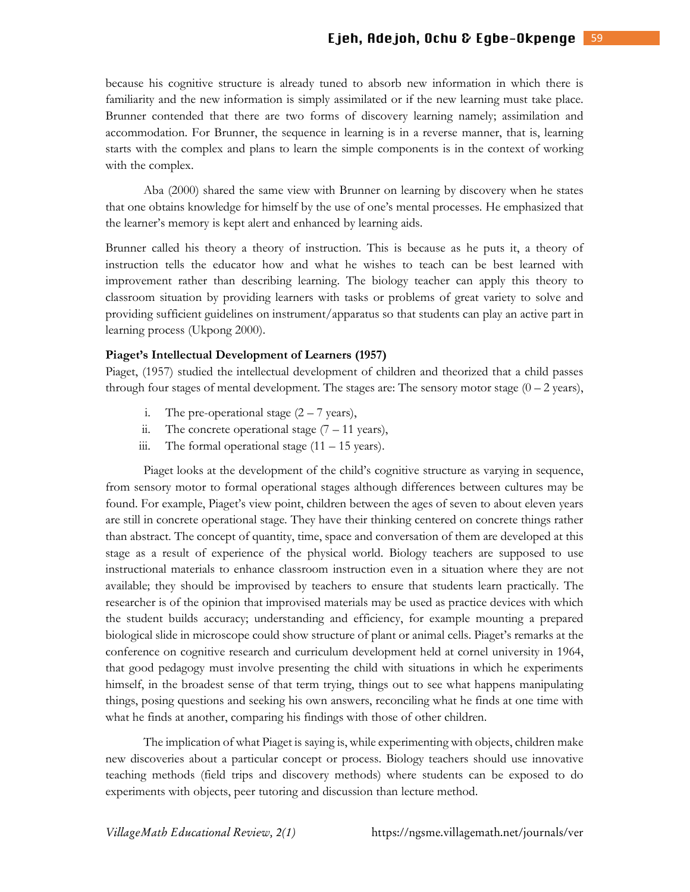because his cognitive structure is already tuned to absorb new information in which there is familiarity and the new information is simply assimilated or if the new learning must take place. Brunner contended that there are two forms of discovery learning namely; assimilation and accommodation. For Brunner, the sequence in learning is in a reverse manner, that is, learning starts with the complex and plans to learn the simple components is in the context of working with the complex.

Aba (2000) shared the same view with Brunner on learning by discovery when he states that one obtains knowledge for himself by the use of one's mental processes. He emphasized that the learner's memory is kept alert and enhanced by learning aids.

Brunner called his theory a theory of instruction. This is because as he puts it, a theory of instruction tells the educator how and what he wishes to teach can be best learned with improvement rather than describing learning. The biology teacher can apply this theory to classroom situation by providing learners with tasks or problems of great variety to solve and providing sufficient guidelines on instrument/apparatus so that students can play an active part in learning process (Ukpong 2000).

#### **Piaget's Intellectual Development of Learners (1957)**

Piaget, (1957) studied the intellectual development of children and theorized that a child passes through four stages of mental development. The stages are: The sensory motor stage  $(0 - 2 \text{ years})$ ,

- i. The pre-operational stage  $(2 7$  years),
- ii. The concrete operational stage  $(7 11 \text{ years})$ ,
- iii. The formal operational stage  $(11 15$  years).

Piaget looks at the development of the child's cognitive structure as varying in sequence, from sensory motor to formal operational stages although differences between cultures may be found. For example, Piaget's view point, children between the ages of seven to about eleven years are still in concrete operational stage. They have their thinking centered on concrete things rather than abstract. The concept of quantity, time, space and conversation of them are developed at this stage as a result of experience of the physical world. Biology teachers are supposed to use instructional materials to enhance classroom instruction even in a situation where they are not available; they should be improvised by teachers to ensure that students learn practically. The researcher is of the opinion that improvised materials may be used as practice devices with which the student builds accuracy; understanding and efficiency, for example mounting a prepared biological slide in microscope could show structure of plant or animal cells. Piaget's remarks at the conference on cognitive research and curriculum development held at cornel university in 1964, that good pedagogy must involve presenting the child with situations in which he experiments himself, in the broadest sense of that term trying, things out to see what happens manipulating things, posing questions and seeking his own answers, reconciling what he finds at one time with what he finds at another, comparing his findings with those of other children.

The implication of what Piaget is saying is, while experimenting with objects, children make new discoveries about a particular concept or process. Biology teachers should use innovative teaching methods (field trips and discovery methods) where students can be exposed to do experiments with objects, peer tutoring and discussion than lecture method.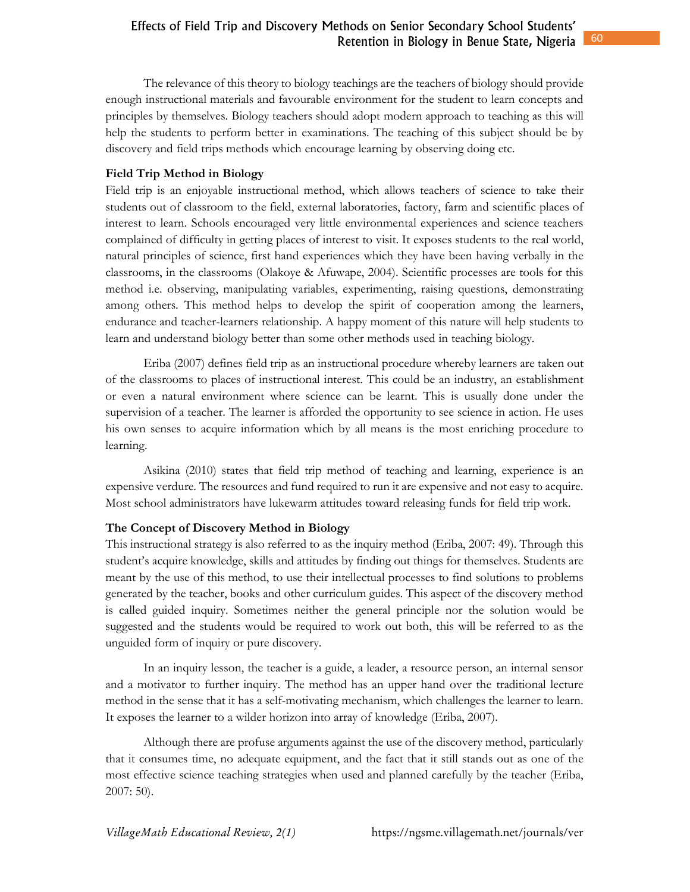The relevance of this theory to biology teachings are the teachers of biology should provide enough instructional materials and favourable environment for the student to learn concepts and principles by themselves. Biology teachers should adopt modern approach to teaching as this will help the students to perform better in examinations. The teaching of this subject should be by discovery and field trips methods which encourage learning by observing doing etc.

### **Field Trip Method in Biology**

Field trip is an enjoyable instructional method, which allows teachers of science to take their students out of classroom to the field, external laboratories, factory, farm and scientific places of interest to learn. Schools encouraged very little environmental experiences and science teachers complained of difficulty in getting places of interest to visit. It exposes students to the real world, natural principles of science, first hand experiences which they have been having verbally in the classrooms, in the classrooms (Olakoye & Afuwape, 2004). Scientific processes are tools for this method i.e. observing, manipulating variables, experimenting, raising questions, demonstrating among others. This method helps to develop the spirit of cooperation among the learners, endurance and teacher-learners relationship. A happy moment of this nature will help students to learn and understand biology better than some other methods used in teaching biology.

Eriba (2007) defines field trip as an instructional procedure whereby learners are taken out of the classrooms to places of instructional interest. This could be an industry, an establishment or even a natural environment where science can be learnt. This is usually done under the supervision of a teacher. The learner is afforded the opportunity to see science in action. He uses his own senses to acquire information which by all means is the most enriching procedure to learning.

Asikina (2010) states that field trip method of teaching and learning, experience is an expensive verdure. The resources and fund required to run it are expensive and not easy to acquire. Most school administrators have lukewarm attitudes toward releasing funds for field trip work.

#### **The Concept of Discovery Method in Biology**

This instructional strategy is also referred to as the inquiry method (Eriba, 2007: 49). Through this student's acquire knowledge, skills and attitudes by finding out things for themselves. Students are meant by the use of this method, to use their intellectual processes to find solutions to problems generated by the teacher, books and other curriculum guides. This aspect of the discovery method is called guided inquiry. Sometimes neither the general principle nor the solution would be suggested and the students would be required to work out both, this will be referred to as the unguided form of inquiry or pure discovery.

In an inquiry lesson, the teacher is a guide, a leader, a resource person, an internal sensor and a motivator to further inquiry. The method has an upper hand over the traditional lecture method in the sense that it has a self-motivating mechanism, which challenges the learner to learn. It exposes the learner to a wilder horizon into array of knowledge (Eriba, 2007).

Although there are profuse arguments against the use of the discovery method, particularly that it consumes time, no adequate equipment, and the fact that it still stands out as one of the most effective science teaching strategies when used and planned carefully by the teacher (Eriba, 2007: 50).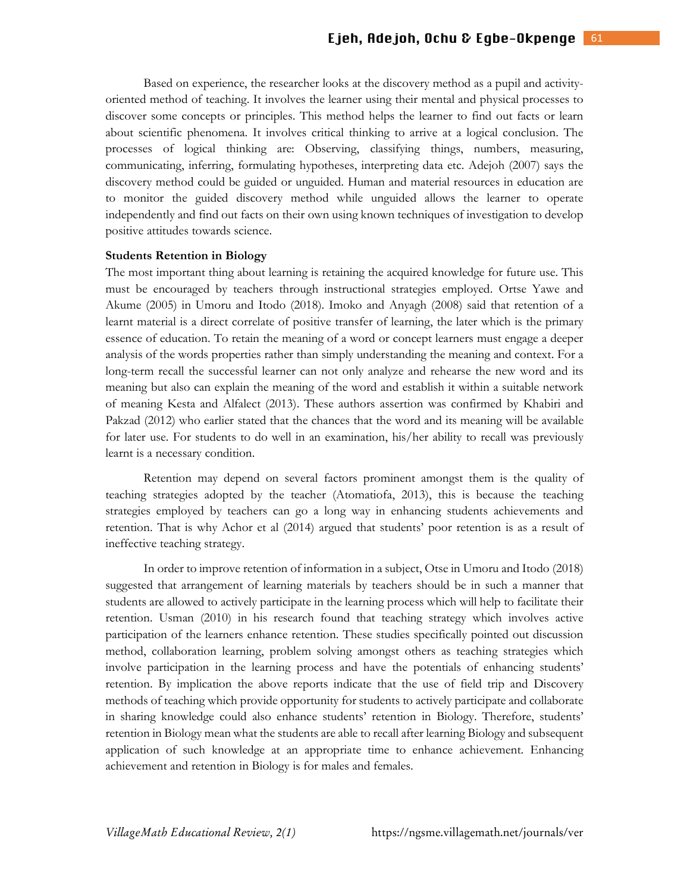Based on experience, the researcher looks at the discovery method as a pupil and activityoriented method of teaching. It involves the learner using their mental and physical processes to discover some concepts or principles. This method helps the learner to find out facts or learn about scientific phenomena. It involves critical thinking to arrive at a logical conclusion. The processes of logical thinking are: Observing, classifying things, numbers, measuring, communicating, inferring, formulating hypotheses, interpreting data etc. Adejoh (2007) says the discovery method could be guided or unguided. Human and material resources in education are to monitor the guided discovery method while unguided allows the learner to operate independently and find out facts on their own using known techniques of investigation to develop positive attitudes towards science.

#### **Students Retention in Biology**

The most important thing about learning is retaining the acquired knowledge for future use. This must be encouraged by teachers through instructional strategies employed. Ortse Yawe and Akume (2005) in Umoru and Itodo (2018). Imoko and Anyagh (2008) said that retention of a learnt material is a direct correlate of positive transfer of learning, the later which is the primary essence of education. To retain the meaning of a word or concept learners must engage a deeper analysis of the words properties rather than simply understanding the meaning and context. For a long-term recall the successful learner can not only analyze and rehearse the new word and its meaning but also can explain the meaning of the word and establish it within a suitable network of meaning Kesta and Alfalect (2013). These authors assertion was confirmed by Khabiri and Pakzad (2012) who earlier stated that the chances that the word and its meaning will be available for later use. For students to do well in an examination, his/her ability to recall was previously learnt is a necessary condition.

Retention may depend on several factors prominent amongst them is the quality of teaching strategies adopted by the teacher (Atomatiofa, 2013), this is because the teaching strategies employed by teachers can go a long way in enhancing students achievements and retention. That is why Achor et al (2014) argued that students' poor retention is as a result of ineffective teaching strategy.

In order to improve retention of information in a subject, Otse in Umoru and Itodo (2018) suggested that arrangement of learning materials by teachers should be in such a manner that students are allowed to actively participate in the learning process which will help to facilitate their retention. Usman (2010) in his research found that teaching strategy which involves active participation of the learners enhance retention. These studies specifically pointed out discussion method, collaboration learning, problem solving amongst others as teaching strategies which involve participation in the learning process and have the potentials of enhancing students' retention. By implication the above reports indicate that the use of field trip and Discovery methods of teaching which provide opportunity for students to actively participate and collaborate in sharing knowledge could also enhance students' retention in Biology. Therefore, students' retention in Biology mean what the students are able to recall after learning Biology and subsequent application of such knowledge at an appropriate time to enhance achievement. Enhancing achievement and retention in Biology is for males and females.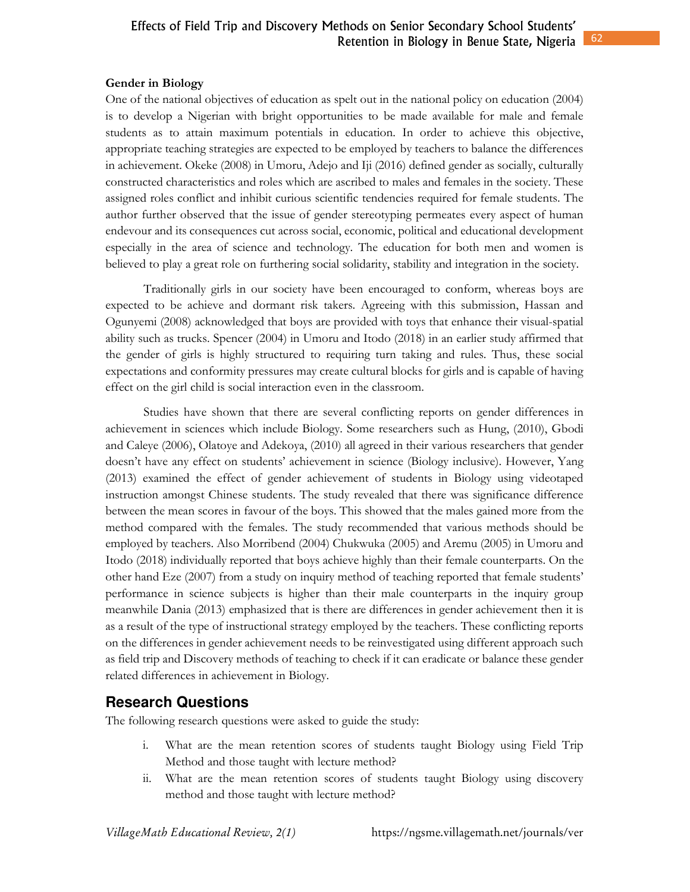### **Gender in Biology**

One of the national objectives of education as spelt out in the national policy on education (2004) is to develop a Nigerian with bright opportunities to be made available for male and female students as to attain maximum potentials in education. In order to achieve this objective, appropriate teaching strategies are expected to be employed by teachers to balance the differences in achievement. Okeke (2008) in Umoru, Adejo and Iji (2016) defined gender as socially, culturally constructed characteristics and roles which are ascribed to males and females in the society. These assigned roles conflict and inhibit curious scientific tendencies required for female students. The author further observed that the issue of gender stereotyping permeates every aspect of human endevour and its consequences cut across social, economic, political and educational development especially in the area of science and technology. The education for both men and women is believed to play a great role on furthering social solidarity, stability and integration in the society.

Traditionally girls in our society have been encouraged to conform, whereas boys are expected to be achieve and dormant risk takers. Agreeing with this submission, Hassan and Ogunyemi (2008) acknowledged that boys are provided with toys that enhance their visual-spatial ability such as trucks. Spencer (2004) in Umoru and Itodo (2018) in an earlier study affirmed that the gender of girls is highly structured to requiring turn taking and rules. Thus, these social expectations and conformity pressures may create cultural blocks for girls and is capable of having effect on the girl child is social interaction even in the classroom.

Studies have shown that there are several conflicting reports on gender differences in achievement in sciences which include Biology. Some researchers such as Hung, (2010), Gbodi and Caleye (2006), Olatoye and Adekoya, (2010) all agreed in their various researchers that gender doesn't have any effect on students' achievement in science (Biology inclusive). However, Yang (2013) examined the effect of gender achievement of students in Biology using videotaped instruction amongst Chinese students. The study revealed that there was significance difference between the mean scores in favour of the boys. This showed that the males gained more from the method compared with the females. The study recommended that various methods should be employed by teachers. Also Morribend (2004) Chukwuka (2005) and Aremu (2005) in Umoru and Itodo (2018) individually reported that boys achieve highly than their female counterparts. On the other hand Eze (2007) from a study on inquiry method of teaching reported that female students' performance in science subjects is higher than their male counterparts in the inquiry group meanwhile Dania (2013) emphasized that is there are differences in gender achievement then it is as a result of the type of instructional strategy employed by the teachers. These conflicting reports on the differences in gender achievement needs to be reinvestigated using different approach such as field trip and Discovery methods of teaching to check if it can eradicate or balance these gender related differences in achievement in Biology.

# **Research Questions**

The following research questions were asked to guide the study:

- i. What are the mean retention scores of students taught Biology using Field Trip Method and those taught with lecture method?
- ii. What are the mean retention scores of students taught Biology using discovery method and those taught with lecture method?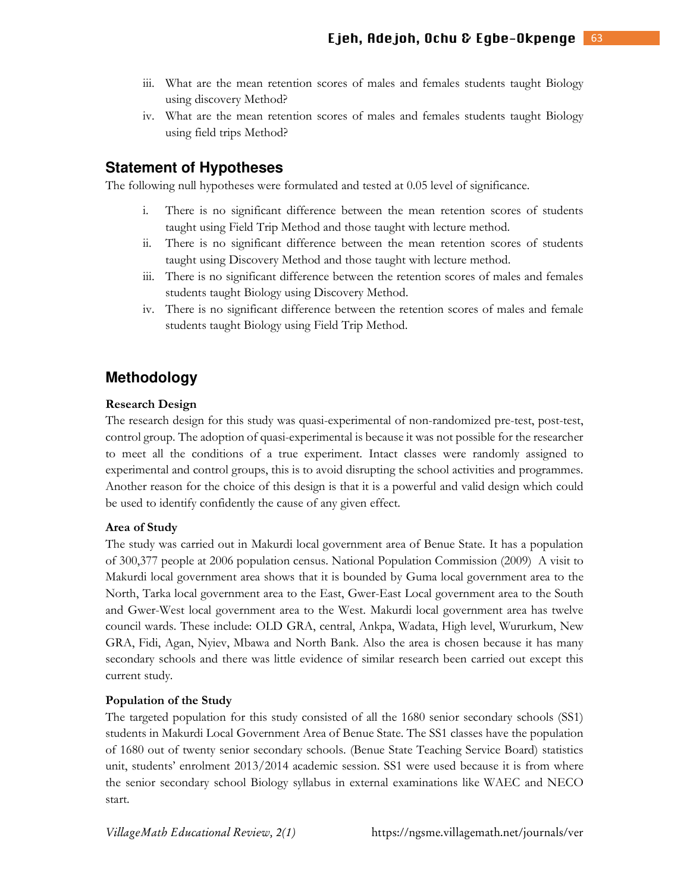- iii. What are the mean retention scores of males and females students taught Biology using discovery Method?
- iv. What are the mean retention scores of males and females students taught Biology using field trips Method?

### **Statement of Hypotheses**

The following null hypotheses were formulated and tested at 0.05 level of significance.

- i. There is no significant difference between the mean retention scores of students taught using Field Trip Method and those taught with lecture method.
- ii. There is no significant difference between the mean retention scores of students taught using Discovery Method and those taught with lecture method.
- iii. There is no significant difference between the retention scores of males and females students taught Biology using Discovery Method.
- iv. There is no significant difference between the retention scores of males and female students taught Biology using Field Trip Method.

# **Methodology**

#### **Research Design**

The research design for this study was quasi-experimental of non-randomized pre-test, post-test, control group. The adoption of quasi-experimental is because it was not possible for the researcher to meet all the conditions of a true experiment. Intact classes were randomly assigned to experimental and control groups, this is to avoid disrupting the school activities and programmes. Another reason for the choice of this design is that it is a powerful and valid design which could be used to identify confidently the cause of any given effect.

#### **Area of Study**

The study was carried out in Makurdi local government area of Benue State. It has a population of 300,377 people at 2006 population census. National Population Commission (2009) A visit to Makurdi local government area shows that it is bounded by Guma local government area to the North, Tarka local government area to the East, Gwer-East Local government area to the South and Gwer-West local government area to the West. Makurdi local government area has twelve council wards. These include: OLD GRA, central, Ankpa, Wadata, High level, Wururkum, New GRA, Fidi, Agan, Nyiev, Mbawa and North Bank. Also the area is chosen because it has many secondary schools and there was little evidence of similar research been carried out except this current study.

#### **Population of the Study**

The targeted population for this study consisted of all the 1680 senior secondary schools (SS1) students in Makurdi Local Government Area of Benue State. The SS1 classes have the population of 1680 out of twenty senior secondary schools. (Benue State Teaching Service Board) statistics unit, students' enrolment 2013/2014 academic session. SS1 were used because it is from where the senior secondary school Biology syllabus in external examinations like WAEC and NECO start.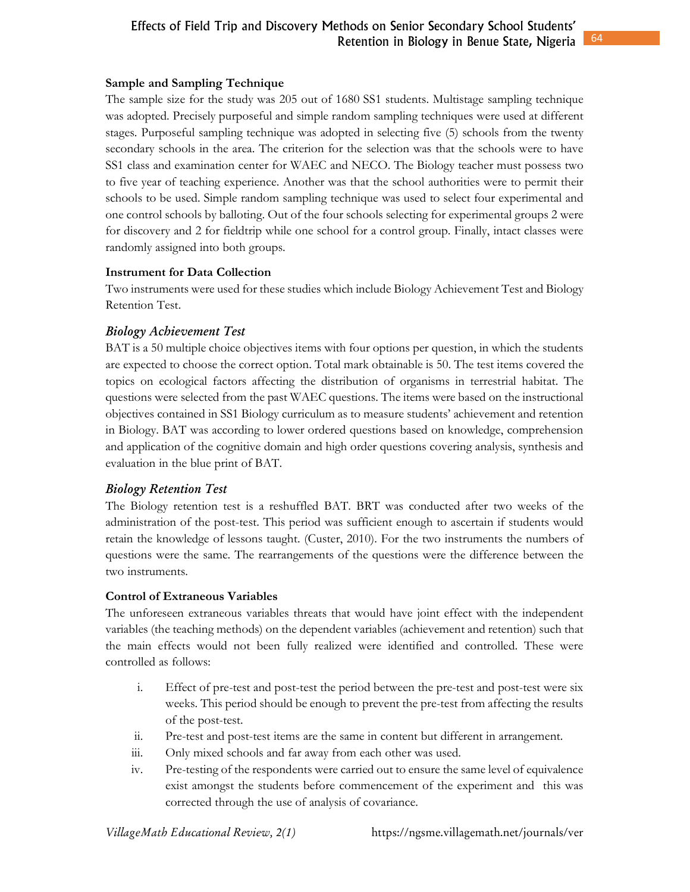### **Sample and Sampling Technique**

The sample size for the study was 205 out of 1680 SS1 students. Multistage sampling technique was adopted. Precisely purposeful and simple random sampling techniques were used at different stages. Purposeful sampling technique was adopted in selecting five (5) schools from the twenty secondary schools in the area. The criterion for the selection was that the schools were to have SS1 class and examination center for WAEC and NECO. The Biology teacher must possess two to five year of teaching experience. Another was that the school authorities were to permit their schools to be used. Simple random sampling technique was used to select four experimental and one control schools by balloting. Out of the four schools selecting for experimental groups 2 were for discovery and 2 for fieldtrip while one school for a control group. Finally, intact classes were randomly assigned into both groups.

### **Instrument for Data Collection**

Two instruments were used for these studies which include Biology Achievement Test and Biology Retention Test.

### **Biology Achievement Test**

BAT is a 50 multiple choice objectives items with four options per question, in which the students are expected to choose the correct option. Total mark obtainable is 50. The test items covered the topics on ecological factors affecting the distribution of organisms in terrestrial habitat. The questions were selected from the past WAEC questions. The items were based on the instructional objectives contained in SS1 Biology curriculum as to measure students' achievement and retention in Biology. BAT was according to lower ordered questions based on knowledge, comprehension and application of the cognitive domain and high order questions covering analysis, synthesis and evaluation in the blue print of BAT.

### **Biology Retention Test**

The Biology retention test is a reshuffled BAT. BRT was conducted after two weeks of the administration of the post-test. This period was sufficient enough to ascertain if students would retain the knowledge of lessons taught. (Custer, 2010). For the two instruments the numbers of questions were the same. The rearrangements of the questions were the difference between the two instruments.

### **Control of Extraneous Variables**

The unforeseen extraneous variables threats that would have joint effect with the independent variables (the teaching methods) on the dependent variables (achievement and retention) such that the main effects would not been fully realized were identified and controlled. These were controlled as follows:

- i. Effect of pre-test and post-test the period between the pre-test and post-test were six weeks. This period should be enough to prevent the pre-test from affecting the results of the post-test.
- ii. Pre-test and post-test items are the same in content but different in arrangement.
- iii. Only mixed schools and far away from each other was used.
- iv. Pre-testing of the respondents were carried out to ensure the same level of equivalence exist amongst the students before commencement of the experiment and this was corrected through the use of analysis of covariance.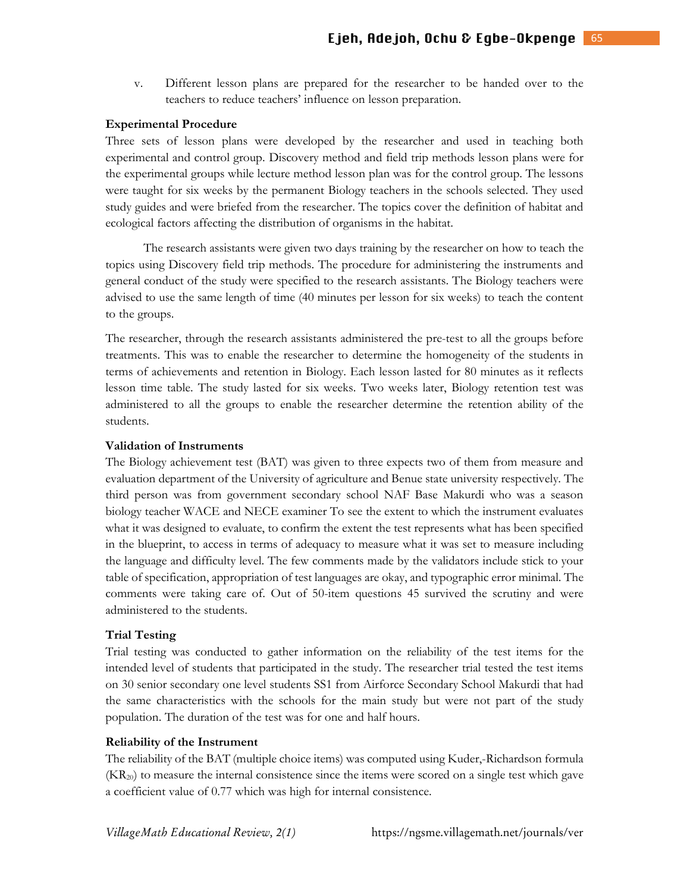v. Different lesson plans are prepared for the researcher to be handed over to the teachers to reduce teachers' influence on lesson preparation.

#### **Experimental Procedure**

Three sets of lesson plans were developed by the researcher and used in teaching both experimental and control group. Discovery method and field trip methods lesson plans were for the experimental groups while lecture method lesson plan was for the control group. The lessons were taught for six weeks by the permanent Biology teachers in the schools selected. They used study guides and were briefed from the researcher. The topics cover the definition of habitat and ecological factors affecting the distribution of organisms in the habitat.

The research assistants were given two days training by the researcher on how to teach the topics using Discovery field trip methods. The procedure for administering the instruments and general conduct of the study were specified to the research assistants. The Biology teachers were advised to use the same length of time (40 minutes per lesson for six weeks) to teach the content to the groups.

The researcher, through the research assistants administered the pre-test to all the groups before treatments. This was to enable the researcher to determine the homogeneity of the students in terms of achievements and retention in Biology. Each lesson lasted for 80 minutes as it reflects lesson time table. The study lasted for six weeks. Two weeks later, Biology retention test was administered to all the groups to enable the researcher determine the retention ability of the students.

#### **Validation of Instruments**

The Biology achievement test (BAT) was given to three expects two of them from measure and evaluation department of the University of agriculture and Benue state university respectively. The third person was from government secondary school NAF Base Makurdi who was a season biology teacher WACE and NECE examiner To see the extent to which the instrument evaluates what it was designed to evaluate, to confirm the extent the test represents what has been specified in the blueprint, to access in terms of adequacy to measure what it was set to measure including the language and difficulty level. The few comments made by the validators include stick to your table of specification, appropriation of test languages are okay, and typographic error minimal. The comments were taking care of. Out of 50-item questions 45 survived the scrutiny and were administered to the students.

#### **Trial Testing**

Trial testing was conducted to gather information on the reliability of the test items for the intended level of students that participated in the study. The researcher trial tested the test items on 30 senior secondary one level students SS1 from Airforce Secondary School Makurdi that had the same characteristics with the schools for the main study but were not part of the study population. The duration of the test was for one and half hours.

#### **Reliability of the Instrument**

The reliability of the BAT (multiple choice items) was computed using Kuder,-Richardson formula  $(KR_{20})$  to measure the internal consistence since the items were scored on a single test which gave a coefficient value of 0.77 which was high for internal consistence.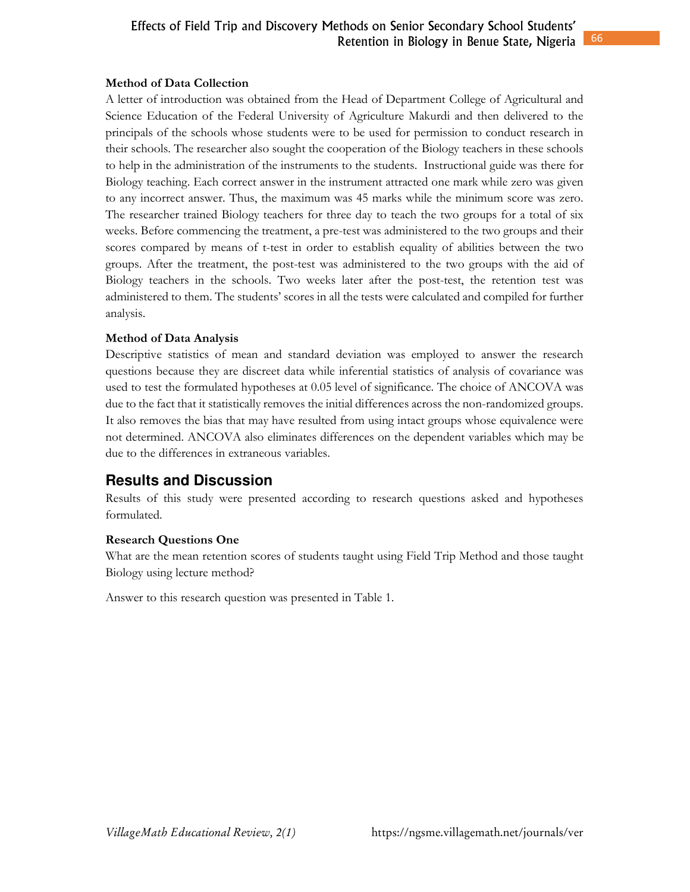### **Method of Data Collection**

A letter of introduction was obtained from the Head of Department College of Agricultural and Science Education of the Federal University of Agriculture Makurdi and then delivered to the principals of the schools whose students were to be used for permission to conduct research in their schools. The researcher also sought the cooperation of the Biology teachers in these schools to help in the administration of the instruments to the students. Instructional guide was there for Biology teaching. Each correct answer in the instrument attracted one mark while zero was given to any incorrect answer. Thus, the maximum was 45 marks while the minimum score was zero. The researcher trained Biology teachers for three day to teach the two groups for a total of six weeks. Before commencing the treatment, a pre-test was administered to the two groups and their scores compared by means of t-test in order to establish equality of abilities between the two groups. After the treatment, the post-test was administered to the two groups with the aid of Biology teachers in the schools. Two weeks later after the post-test, the retention test was administered to them. The students' scores in all the tests were calculated and compiled for further analysis.

### **Method of Data Analysis**

Descriptive statistics of mean and standard deviation was employed to answer the research questions because they are discreet data while inferential statistics of analysis of covariance was used to test the formulated hypotheses at 0.05 level of significance. The choice of ANCOVA was due to the fact that it statistically removes the initial differences across the non-randomized groups. It also removes the bias that may have resulted from using intact groups whose equivalence were not determined. ANCOVA also eliminates differences on the dependent variables which may be due to the differences in extraneous variables.

# **Results and Discussion**

Results of this study were presented according to research questions asked and hypotheses formulated.

### **Research Questions One**

What are the mean retention scores of students taught using Field Trip Method and those taught Biology using lecture method?

Answer to this research question was presented in Table 1.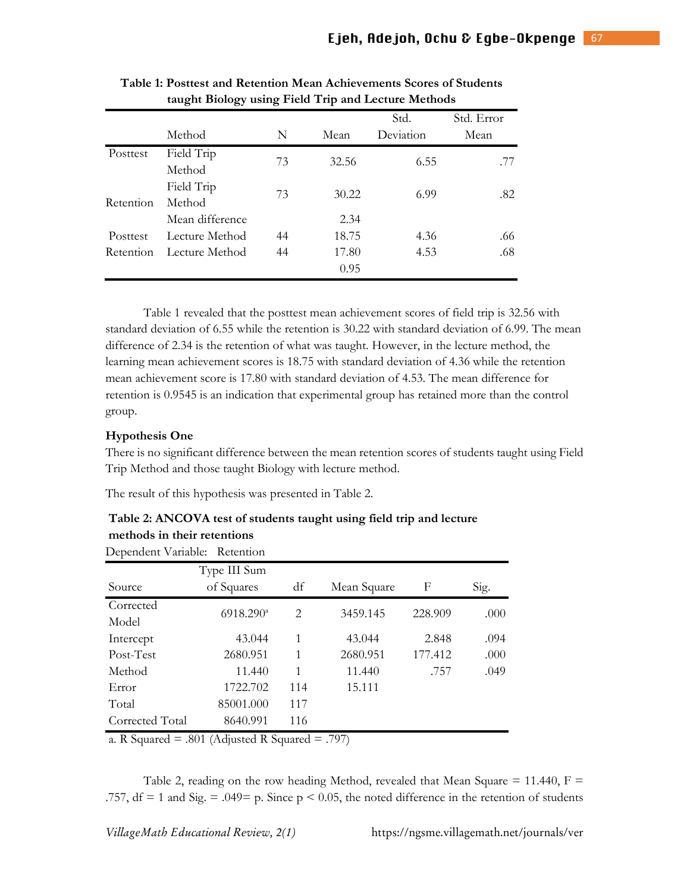|           | ັັ              |    |       |           |            |
|-----------|-----------------|----|-------|-----------|------------|
|           |                 |    |       | Std.      | Std. Error |
|           | Method          | N  | Mean  | Deviation | Mean       |
| Posttest  | Field Trip      | 73 | 32.56 | 6.55      |            |
|           | Method          |    |       |           | .77        |
|           | Field Trip      | 73 | 30.22 | 6.99      | .82        |
| Retention | Method          |    |       |           |            |
|           | Mean difference |    | 2.34  |           |            |
| Posttest  | Lecture Method  | 44 | 18.75 | 4.36      | .66        |
| Retention | Lecture Method  | 44 | 17.80 | 4.53      | .68        |
|           |                 |    | 0.95  |           |            |

| Table 1: Posttest and Retention Mean Achievements Scores of Students |
|----------------------------------------------------------------------|
| taught Biology using Field Trip and Lecture Methods                  |

 Table 1 revealed that the posttest mean achievement scores of field trip is 32.56 with standard deviation of 6.55 while the retention is 30.22 with standard deviation of 6.99. The mean difference of 2.34 is the retention of what was taught. However, in the lecture method, the learning mean achievement scores is 18.75 with standard deviation of 4.36 while the retention mean achievement score is 17.80 with standard deviation of 4.53. The mean difference for retention is 0.9545 is an indication that experimental group has retained more than the control group.

#### **Hypothesis One**

There is no significant difference between the mean retention scores of students taught using Field Trip Method and those taught Biology with lecture method.

The result of this hypothesis was presented in Table 2.

| Table 2: ANCOVA test of students taught using field trip and lecture |  |
|----------------------------------------------------------------------|--|
| methods in their retentions                                          |  |

| <b>Table 2: AINCOVA Lest of students taught using field trip and lecture</b> |  |  |  |
|------------------------------------------------------------------------------|--|--|--|
| methods in their retentions                                                  |  |  |  |
| Dependent Variable: Retention                                                |  |  |  |

|                    | Type III Sum       |                               |             |         |      |
|--------------------|--------------------|-------------------------------|-------------|---------|------|
| Source             | of Squares         | df                            | Mean Square | F       | Sig. |
| Corrected<br>Model | $6918.290^{\circ}$ | $\mathfrak{D}_{\mathfrak{p}}$ | 3459.145    | 228.909 | .000 |
| Intercept          | 43.044             | 1                             | 43.044      | 2.848   | .094 |
| Post-Test          | 2680.951           | 1                             | 2680.951    | 177.412 | .000 |
| Method             | 11.440             | 1                             | 11.440      | .757    | .049 |
| Error              | 1722.702           | 114                           | 15.111      |         |      |
| Total              | 85001.000          | 117                           |             |         |      |
| Corrected Total    | 8640.991           | 116                           |             |         |      |

a. R Squared  $= .801$  (Adjusted R Squared  $= .797$ )

Table 2, reading on the row heading Method, revealed that Mean Square  $= 11.440$ , F .757, df = 1 and Sig. = .049= p. Since  $p < 0.05$ , the noted difference in the retention of students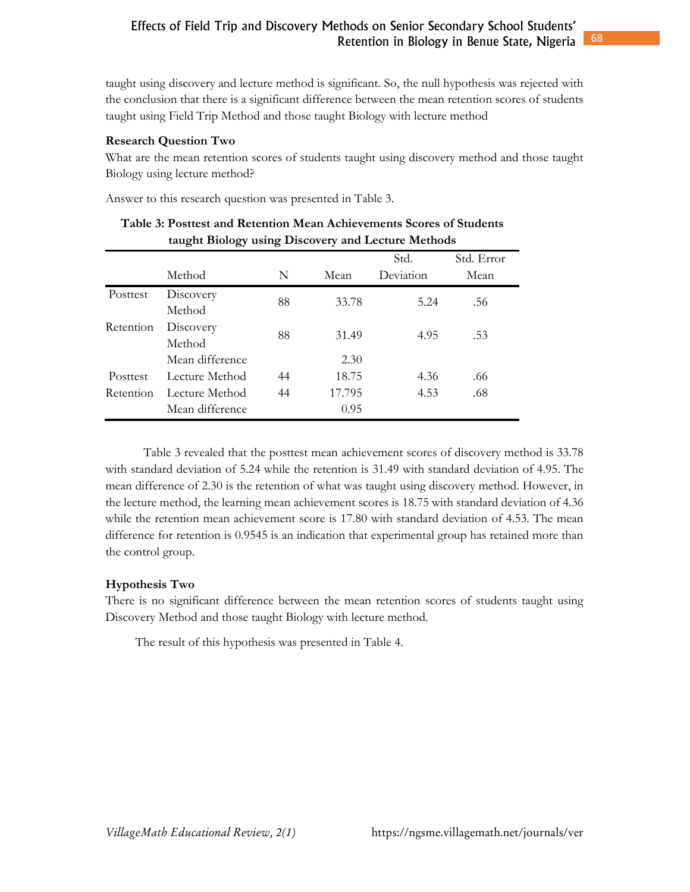taught using discovery and lecture method is significant. So, the null hypothesis was rejected with the conclusion that there is a significant difference between the mean retention scores of students taught using Field Trip Method and those taught Biology with lecture method

### **Research Question Two**

What are the mean retention scores of students taught using discovery method and those taught Biology using lecture method?

Answer to this research question was presented in Table 3.

|           | taught Diology using Discovery and Lecture inclinuus |    |        | Std.      | Std. Error |  |
|-----------|------------------------------------------------------|----|--------|-----------|------------|--|
|           | Method                                               | N  | Mean   | Deviation | Mean       |  |
| Posttest  | Discovery                                            | 88 | 33.78  | 5.24      | .56        |  |
|           | Method                                               |    |        |           |            |  |
| Retention | Discovery                                            | 88 | 31.49  | 4.95      | .53        |  |
|           | Method                                               |    |        |           |            |  |
|           | Mean difference                                      |    | 2.30   |           |            |  |
| Posttest  | Lecture Method                                       | 44 | 18.75  | 4.36      | .66        |  |
| Retention | Lecture Method                                       | 44 | 17.795 | 4.53      | .68        |  |
|           | Mean difference                                      |    | 0.95   |           |            |  |

| Table 3: Posttest and Retention Mean Achievements Scores of Students |
|----------------------------------------------------------------------|
| taught Biology using Discovery and Lecture Methods                   |

 Table 3 revealed that the posttest mean achievement scores of discovery method is 33.78 with standard deviation of 5.24 while the retention is 31.49 with standard deviation of 4.95. The mean difference of 2.30 is the retention of what was taught using discovery method. However, in the lecture method, the learning mean achievement scores is 18.75 with standard deviation of 4.36 while the retention mean achievement score is 17.80 with standard deviation of 4.53. The mean difference for retention is 0.9545 is an indication that experimental group has retained more than the control group.

### **Hypothesis Two**

There is no significant difference between the mean retention scores of students taught using Discovery Method and those taught Biology with lecture method.

The result of this hypothesis was presented in Table 4.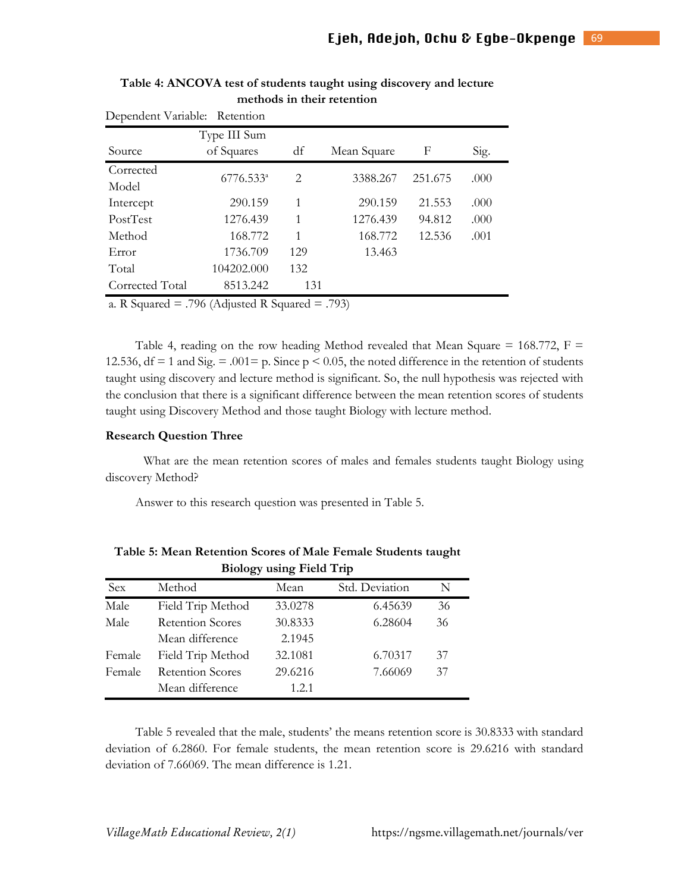|                 | Dependent Variable: Retention                                                              |     |             |         |      |  |  |  |
|-----------------|--------------------------------------------------------------------------------------------|-----|-------------|---------|------|--|--|--|
|                 | Type III Sum                                                                               |     |             |         |      |  |  |  |
| Source          | of Squares                                                                                 | df  | Mean Square | F       | Sig. |  |  |  |
| Corrected       | $6776.533^a$                                                                               | 2   | 3388.267    | 251.675 | .000 |  |  |  |
| Model           |                                                                                            |     |             |         |      |  |  |  |
| Intercept       | 290.159                                                                                    | 1   | 290.159     | 21.553  | .000 |  |  |  |
| PostTest        | 1276.439                                                                                   | 1   | 1276.439    | 94.812  | .000 |  |  |  |
| Method          | 168.772                                                                                    | 1   | 168.772     | 12.536  | .001 |  |  |  |
| Error           | 1736.709                                                                                   | 129 | 13.463      |         |      |  |  |  |
| Total           | 104202.000                                                                                 | 132 |             |         |      |  |  |  |
| Corrected Total | 8513.242                                                                                   | 131 |             |         |      |  |  |  |
|                 | $\blacksquare$ $\land$ $\land$ $\land$ $\land$ $\blacksquare$<br>$\mathbf{1}$ $\mathbf{0}$ |     |             |         |      |  |  |  |

**Table 4: ANCOVA test of students taught using discovery and lecture methods in their retention**

a. R Squared  $= .796$  (Adjusted R Squared  $= .793$ )

Table 4, reading on the row heading Method revealed that Mean Square =  $168.772$ , F = 12.536, df = 1 and Sig. = .001 = p. Since  $p < 0.05$ , the noted difference in the retention of students taught using discovery and lecture method is significant. So, the null hypothesis was rejected with the conclusion that there is a significant difference between the mean retention scores of students taught using Discovery Method and those taught Biology with lecture method.

#### **Research Question Three**

What are the mean retention scores of males and females students taught Biology using discovery Method?

Answer to this research question was presented in Table 5.

|        | $21010 \text{ g}$ , $4011 \text{ g}$ , $2101 \text{ g}$ , $211 \text{ g}$ |         |                |    |  |  |  |
|--------|---------------------------------------------------------------------------|---------|----------------|----|--|--|--|
| Sex    | Method                                                                    | Mean    | Std. Deviation | N  |  |  |  |
| Male   | Field Trip Method                                                         | 33.0278 | 6.45639        | 36 |  |  |  |
| Male   | <b>Retention Scores</b>                                                   | 30.8333 | 6.28604        | 36 |  |  |  |
|        | Mean difference                                                           | 2.1945  |                |    |  |  |  |
| Female | Field Trip Method                                                         | 32.1081 | 6.70317        | 37 |  |  |  |
| Female | <b>Retention Scores</b>                                                   | 29.6216 | 7.66069        | 37 |  |  |  |
|        | Mean difference                                                           | 1.2.1   |                |    |  |  |  |

**Table 5: Mean Retention Scores of Male Female Students taught Biology using Field Trip** 

 Table 5 revealed that the male, students' the means retention score is 30.8333 with standard deviation of 6.2860. For female students, the mean retention score is 29.6216 with standard deviation of 7.66069. The mean difference is 1.21.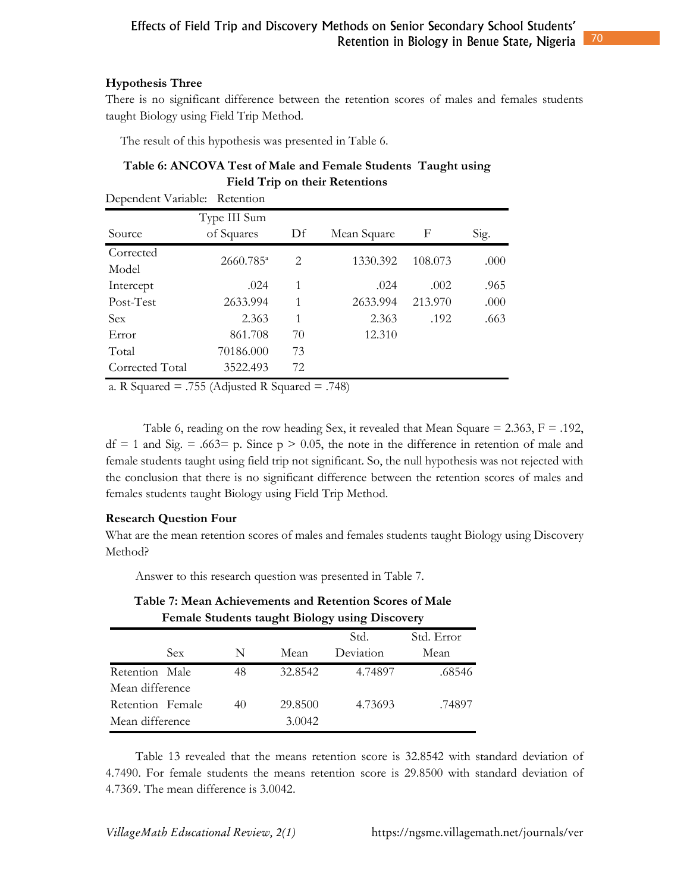### **Hypothesis Three**

There is no significant difference between the retention scores of males and females students taught Biology using Field Trip Method.

The result of this hypothesis was presented in Table 6.

### **Table 6: ANCOVA Test of Male and Female Students Taught using Field Trip on their Retentions**

| Dependent Variable: Retention |                       |    |             |         |      |
|-------------------------------|-----------------------|----|-------------|---------|------|
|                               | Type III Sum          |    |             |         |      |
| Source                        | of Squares            | Df | Mean Square | F       | Sig. |
| Corrected                     | 2660.785 <sup>a</sup> | 2  | 1330.392    | 108.073 | .000 |
| Model                         |                       |    |             |         |      |
| Intercept                     | .024                  | 1  | .024        | .002    | .965 |
| Post-Test                     | 2633.994              | 1  | 2633.994    | 213.970 | .000 |
| <b>Sex</b>                    | 2.363                 | 1  | 2.363       | .192    | .663 |
| Error                         | 861.708               | 70 | 12.310      |         |      |
| Total                         | 70186.000             | 73 |             |         |      |
| Corrected Total               | 3522.493              | 72 |             |         |      |
|                               |                       |    |             |         |      |

a. R Squared  $= .755$  (Adjusted R Squared  $= .748$ )

Table 6, reading on the row heading Sex, it revealed that Mean Square =  $2.363$ , F =  $.192$ ,  $df = 1$  and Sig. = .663= p. Since p > 0.05, the note in the difference in retention of male and female students taught using field trip not significant. So, the null hypothesis was not rejected with the conclusion that there is no significant difference between the retention scores of males and females students taught Biology using Field Trip Method.

### **Research Question Four**

What are the mean retention scores of males and females students taught Biology using Discovery Method?

Answer to this research question was presented in Table 7.

| Female Students taught Biology using Discovery |            |      |            |           |        |  |  |
|------------------------------------------------|------------|------|------------|-----------|--------|--|--|
|                                                |            | Std. | Std. Error |           |        |  |  |
|                                                | <b>Sex</b> | N    | Mean       | Deviation | Mean   |  |  |
| Retention Male                                 |            | 48   | 32.8542    | 4.74897   | .68546 |  |  |
| Mean difference                                |            |      |            |           |        |  |  |
| Retention Female                               |            | 40   | 29.8500    | 4.73693   | .74897 |  |  |
| Mean difference                                |            |      | 3.0042     |           |        |  |  |

**Table 7: Mean Achievements and Retention Scores of Male** 

 Table 13 revealed that the means retention score is 32.8542 with standard deviation of 4.7490. For female students the means retention score is 29.8500 with standard deviation of 4.7369. The mean difference is 3.0042.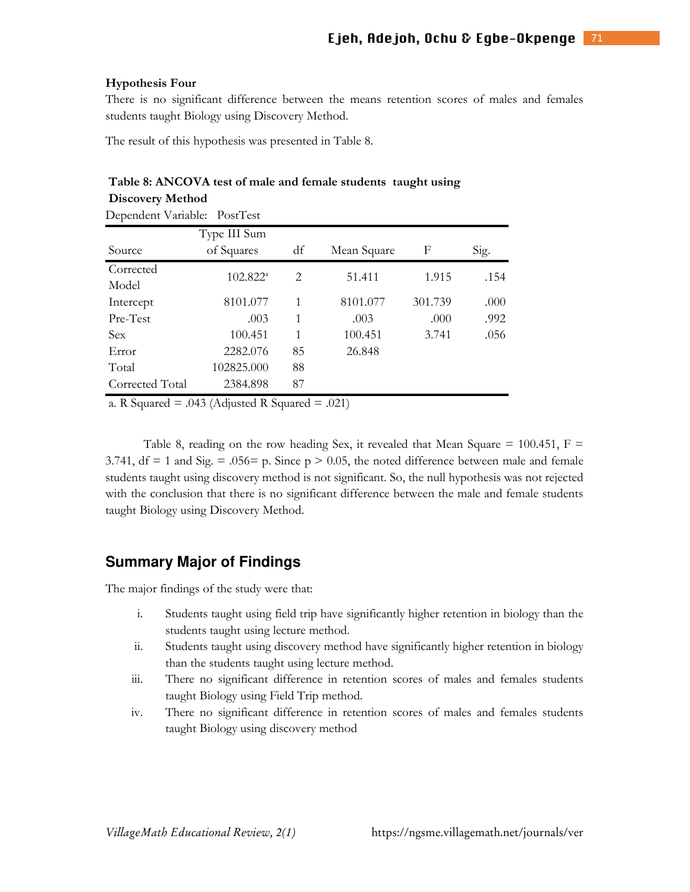#### **Hypothesis Four**

**Discovery Method** 

There is no significant difference between the means retention scores of males and females students taught Biology using Discovery Method.

The result of this hypothesis was presented in Table 8.

### **Table 8: ANCOVA test of male and female students taught using**

|                              | <b>DISCOVETY METHOL</b>    |    |             |         |      |  |  |
|------------------------------|----------------------------|----|-------------|---------|------|--|--|
| Dependent Variable: PostTest |                            |    |             |         |      |  |  |
| Source                       | Type III Sum<br>of Squares | df | Mean Square | F       | Sig. |  |  |
| Corrected<br>Model           | $102.822^a$                | 2  | 51.411      | 1.915   | .154 |  |  |
| Intercept                    | 8101.077                   | 1  | 8101.077    | 301.739 | .000 |  |  |
| Pre-Test                     | .003                       | 1  | .003        | .000    | .992 |  |  |
| <b>Sex</b>                   | 100.451                    | 1  | 100.451     | 3.741   | .056 |  |  |
| Error                        | 2282.076                   | 85 | 26.848      |         |      |  |  |
| Total                        | 102825.000                 | 88 |             |         |      |  |  |
| Corrected Total              | 2384.898                   | 87 |             |         |      |  |  |
|                              |                            |    |             |         |      |  |  |

a. R Squared  $= .043$  (Adjusted R Squared  $= .021$ )

Table 8, reading on the row heading Sex, it revealed that Mean Square =  $100.451$ , F = 3.741,  $df = 1$  and Sig. = .056 p. Since  $p > 0.05$ , the noted difference between male and female students taught using discovery method is not significant. So, the null hypothesis was not rejected with the conclusion that there is no significant difference between the male and female students taught Biology using Discovery Method.

### **Summary Major of Findings**

The major findings of the study were that:

- i. Students taught using field trip have significantly higher retention in biology than the students taught using lecture method.
- ii. Students taught using discovery method have significantly higher retention in biology than the students taught using lecture method.
- iii. There no significant difference in retention scores of males and females students taught Biology using Field Trip method.
- iv. There no significant difference in retention scores of males and females students taught Biology using discovery method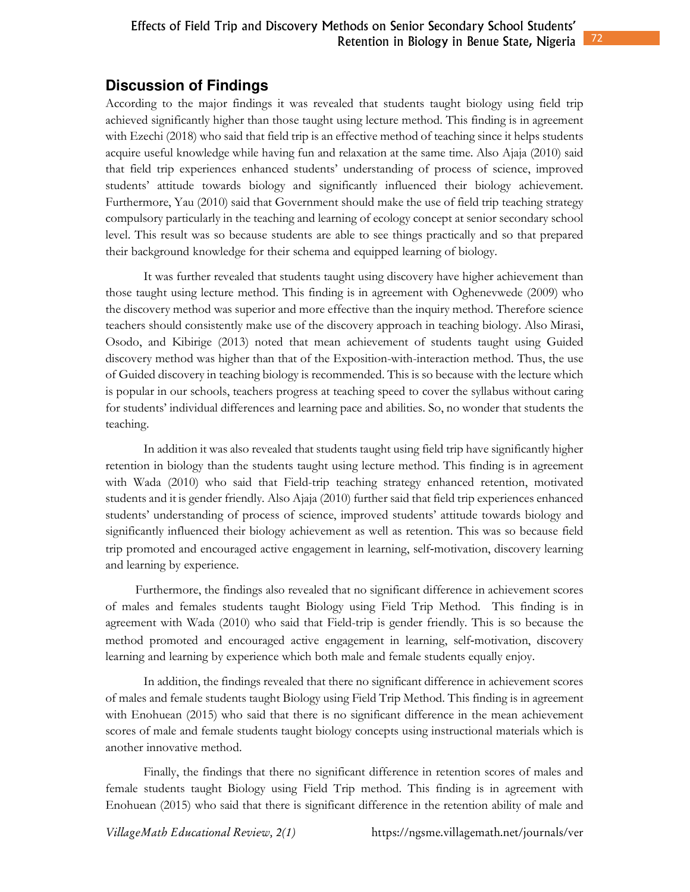72

# **Discussion of Findings**

According to the major findings it was revealed that students taught biology using field trip achieved significantly higher than those taught using lecture method. This finding is in agreement with Ezechi (2018) who said that field trip is an effective method of teaching since it helps students acquire useful knowledge while having fun and relaxation at the same time. Also Ajaja (2010) said that field trip experiences enhanced students' understanding of process of science, improved students' attitude towards biology and significantly influenced their biology achievement. Furthermore, Yau (2010) said that Government should make the use of field trip teaching strategy compulsory particularly in the teaching and learning of ecology concept at senior secondary school level. This result was so because students are able to see things practically and so that prepared their background knowledge for their schema and equipped learning of biology.

 It was further revealed that students taught using discovery have higher achievement than those taught using lecture method. This finding is in agreement with Oghenevwede (2009) who the discovery method was superior and more effective than the inquiry method. Therefore science teachers should consistently make use of the discovery approach in teaching biology. Also Mirasi, Osodo, and Kibirige (2013) noted that mean achievement of students taught using Guided discovery method was higher than that of the Exposition-with-interaction method. Thus, the use of Guided discovery in teaching biology is recommended. This is so because with the lecture which is popular in our schools, teachers progress at teaching speed to cover the syllabus without caring for students' individual differences and learning pace and abilities. So, no wonder that students the teaching.

In addition it was also revealed that students taught using field trip have significantly higher retention in biology than the students taught using lecture method. This finding is in agreement with Wada (2010) who said that Field-trip teaching strategy enhanced retention, motivated students and it is gender friendly. Also Ajaja (2010) further said that field trip experiences enhanced students' understanding of process of science, improved students' attitude towards biology and significantly influenced their biology achievement as well as retention. This was so because field trip promoted and encouraged active engagement in learning, self-motivation, discovery learning and learning by experience.

 Furthermore, the findings also revealed that no significant difference in achievement scores of males and females students taught Biology using Field Trip Method. This finding is in agreement with Wada (2010) who said that Field-trip is gender friendly. This is so because the method promoted and encouraged active engagement in learning, self-motivation, discovery learning and learning by experience which both male and female students equally enjoy.

In addition, the findings revealed that there no significant difference in achievement scores of males and female students taught Biology using Field Trip Method. This finding is in agreement with Enohuean (2015) who said that there is no significant difference in the mean achievement scores of male and female students taught biology concepts using instructional materials which is another innovative method.

Finally, the findings that there no significant difference in retention scores of males and female students taught Biology using Field Trip method. This finding is in agreement with Enohuean (2015) who said that there is significant difference in the retention ability of male and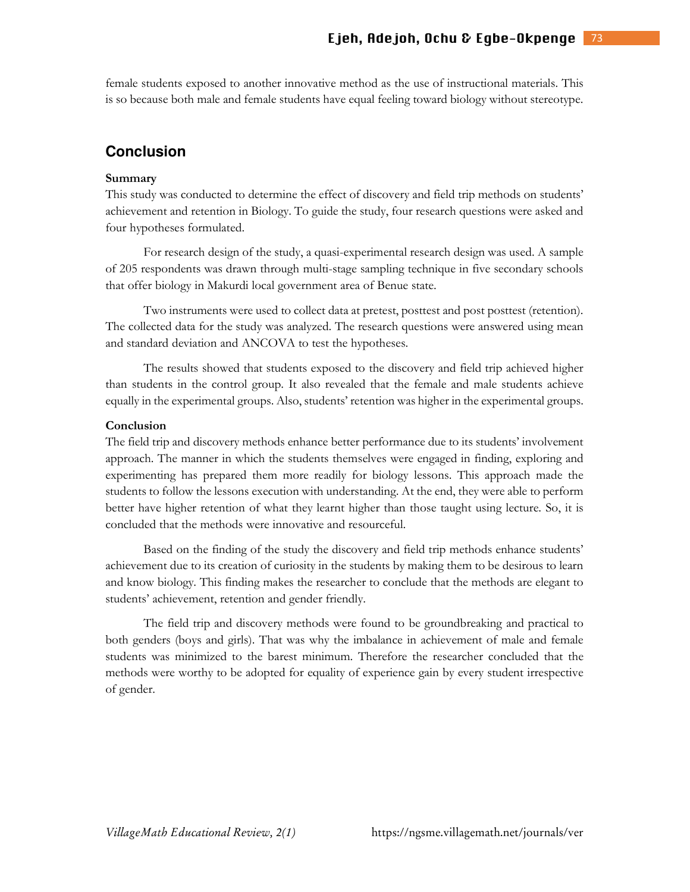female students exposed to another innovative method as the use of instructional materials. This is so because both male and female students have equal feeling toward biology without stereotype.

### **Conclusion**

### **Summary**

This study was conducted to determine the effect of discovery and field trip methods on students' achievement and retention in Biology. To guide the study, four research questions were asked and four hypotheses formulated.

For research design of the study, a quasi-experimental research design was used. A sample of 205 respondents was drawn through multi-stage sampling technique in five secondary schools that offer biology in Makurdi local government area of Benue state.

Two instruments were used to collect data at pretest, posttest and post posttest (retention). The collected data for the study was analyzed. The research questions were answered using mean and standard deviation and ANCOVA to test the hypotheses.

 The results showed that students exposed to the discovery and field trip achieved higher than students in the control group. It also revealed that the female and male students achieve equally in the experimental groups. Also, students' retention was higher in the experimental groups.

#### **Conclusion**

The field trip and discovery methods enhance better performance due to its students' involvement approach. The manner in which the students themselves were engaged in finding, exploring and experimenting has prepared them more readily for biology lessons. This approach made the students to follow the lessons execution with understanding. At the end, they were able to perform better have higher retention of what they learnt higher than those taught using lecture. So, it is concluded that the methods were innovative and resourceful.

Based on the finding of the study the discovery and field trip methods enhance students' achievement due to its creation of curiosity in the students by making them to be desirous to learn and know biology. This finding makes the researcher to conclude that the methods are elegant to students' achievement, retention and gender friendly.

The field trip and discovery methods were found to be groundbreaking and practical to both genders (boys and girls). That was why the imbalance in achievement of male and female students was minimized to the barest minimum. Therefore the researcher concluded that the methods were worthy to be adopted for equality of experience gain by every student irrespective of gender.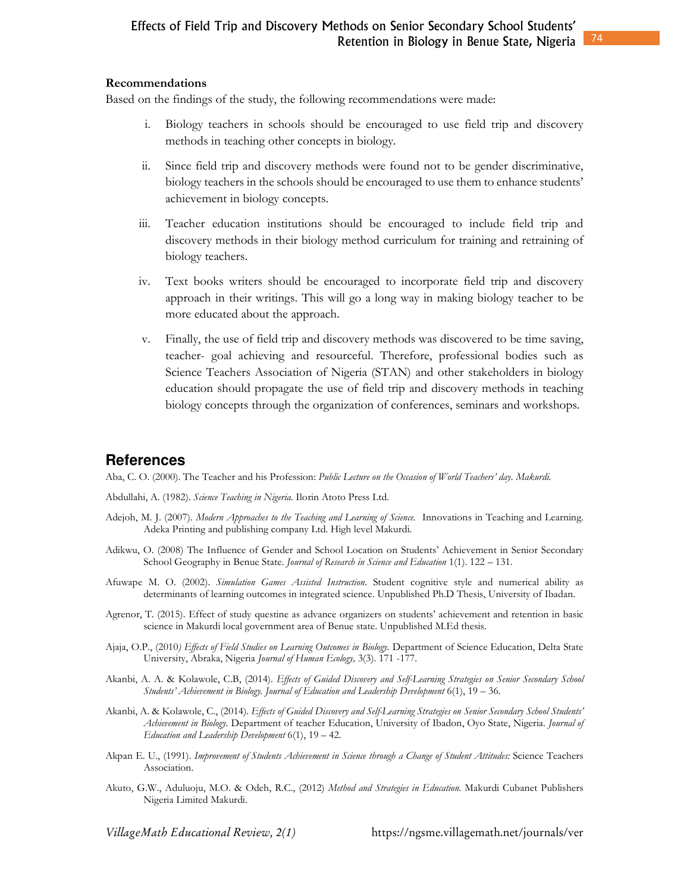### **Recommendations**

Based on the findings of the study, the following recommendations were made:

- i. Biology teachers in schools should be encouraged to use field trip and discovery methods in teaching other concepts in biology.
- ii. Since field trip and discovery methods were found not to be gender discriminative, biology teachers in the schools should be encouraged to use them to enhance students' achievement in biology concepts.
- iii. Teacher education institutions should be encouraged to include field trip and discovery methods in their biology method curriculum for training and retraining of biology teachers.
- iv. Text books writers should be encouraged to incorporate field trip and discovery approach in their writings. This will go a long way in making biology teacher to be more educated about the approach.
- v. Finally, the use of field trip and discovery methods was discovered to be time saving, teacher- goal achieving and resourceful. Therefore, professional bodies such as Science Teachers Association of Nigeria (STAN) and other stakeholders in biology education should propagate the use of field trip and discovery methods in teaching biology concepts through the organization of conferences, seminars and workshops.

# **References**

Aba, C. O. (2000). The Teacher and his Profession: *Public Lecture on the Occasion of World Teachers' day. Makurdi.* 

Abdullahi, A. (1982). *Science Teaching in Nigeria.* Ilorin Atoto Press Ltd.

- Adejoh, M. J. (2007). *Modern Approaches to the Teaching and Learning of Science.* Innovations in Teaching and Learning. Adeka Printing and publishing company Ltd. High level Makurdi.
- Adikwu, O. (2008) The Influence of Gender and School Location on Students' Achievement in Senior Secondary School Geography in Benue State. *Journal of Research in Science and Education* 1(1). 122 – 131.
- Afuwape M. O. (2002). *Simulation Games Assisted Instruction*. Student cognitive style and numerical ability as determinants of learning outcomes in integrated science. Unpublished Ph.D Thesis, University of Ibadan.
- Agrenor, T. (2015). Effect of study questine as advance organizers on students' achievement and retention in basic science in Makurdi local government area of Benue state. Unpublished M.Ed thesis.
- Ajaja, O.P., (2010*) Effects of Field Studies on Learning Outcomes in Biology.* Department of Science Education, Delta State University, Abraka, Nigeria *Journal of Human Ecology,* 3(3). 171 -177.
- Akanbi, A. A. & Kolawole, C.B, (2014). *Effects of Guided Discovery and Self-Learning Strategies on Senior Secondary School Students' Achievement in Biology. Journal of Education and Leadership Development* 6(1), 19 – 36.
- Akanbi, A. & Kolawole, C., (2014). *Effects of Guided Discovery and Self-Learning Strategies on Senior Secondary School Students' Achievement in Biology.* Department of teacher Education, University of Ibadon, Oyo State, Nigeria. *Journal of Education and Leadership Development* 6(1), 19 – 42.
- Akpan E. U., (1991). *Improvement of Students Achievement in Science through a Change of Student Attitudes:* Science Teachers Association.
- Akuto, G.W., Aduluoju, M.O. & Odeh, R.C., (2012) *Method and Strategies in Education.* Makurdi Cubanet Publishers Nigeria Limited Makurdi.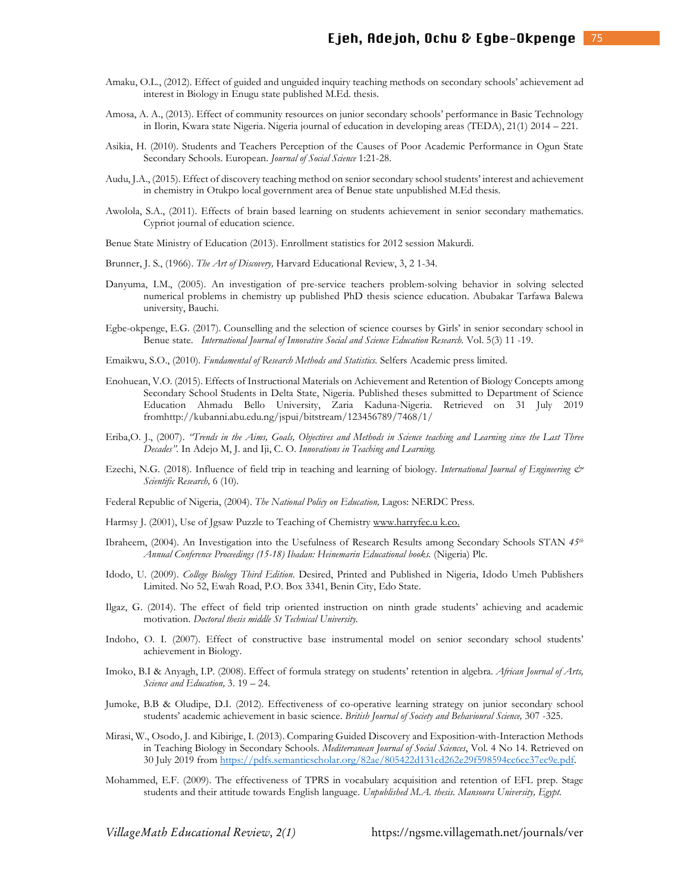- Amaku, O.L., (2012). Effect of guided and unguided inquiry teaching methods on secondary schools' achievement ad interest in Biology in Enugu state published M.Ed. thesis.
- Amosa, A. A., (2013). Effect of community resources on junior secondary schools' performance in Basic Technology in Ilorin, Kwara state Nigeria. Nigeria journal of education in developing areas (TEDA), 21(1) 2014 – 221.
- Asikia, H. (2010). Students and Teachers Perception of the Causes of Poor Academic Performance in Ogun State Secondary Schools. European. *Journal of Social Science* 1:21-28.
- Audu, J.A., (2015). Effect of discovery teaching method on senior secondary school students' interest and achievement in chemistry in Otukpo local government area of Benue state unpublished M.Ed thesis.
- Awolola, S.A., (2011). Effects of brain based learning on students achievement in senior secondary mathematics. Cypriot journal of education science.
- Benue State Ministry of Education (2013). Enrollment statistics for 2012 session Makurdi.
- Brunner, J. S., (1966). *The Art of Discovery,* Harvard Educational Review, 3, 2 1-34.
- Danyuma, I.M., (2005). An investigation of pre-service teachers problem-solving behavior in solving selected numerical problems in chemistry up published PhD thesis science education. Abubakar Tarfawa Balewa university, Bauchi.
- Egbe-okpenge, E.G. (2017). Counselling and the selection of science courses by Girls' in senior secondary school in Benue state. *International Journal of Innovative Social and Science Education Research.* Vol. 5(3) 11 -19.
- Emaikwu, S.O., (2010). *Fundamental of Research Methods and Statistics.* Selfers Academic press limited.
- Enohuean, V.O. (2015). Effects of Instructional Materials on Achievement and Retention of Biology Concepts among Secondary School Students in Delta State, Nigeria. Published theses submitted to Department of Science Education Ahmadu Bello University, Zaria Kaduna-Nigeria. Retrieved on 31 July 2019 fromhttp://kubanni.abu.edu.ng/jspui/bitstream/123456789/7468/1/
- Eriba,O. J., (2007). *"Trends in the Aims, Goals, Objectives and Methods in Science teaching and Learning since the Last Three Decades".* In Adejo M, J. and Iji, C. O. *Innovations in Teaching and Learning.*
- Ezechi, N.G. (2018). Influence of field trip in teaching and learning of biology. *International Journal of Engineering & Scientific Research,* 6 (10).
- Federal Republic of Nigeria, (2004). *The National Policy on Education,* Lagos: NERDC Press.
- Harmsy J. (2001), Use of Jgsaw Puzzle to Teaching of Chemistry www.harryfec.u k.co.
- Ibraheem, (2004). An Investigation into the Usefulness of Research Results among Secondary Schools STAN *45th Annual Conference Proceedings (15-18) Ibadan: Heinemarin Educational books.* (Nigeria) Plc.
- Idodo, U. (2009). *College Biology Third Edition*. Desired, Printed and Published in Nigeria, Idodo Umeh Publishers Limited. No 52, Ewah Road, P.O. Box 3341, Benin City, Edo State.
- Ilgaz, G. (2014). The effect of field trip oriented instruction on ninth grade students' achieving and academic motivation. *Doctoral thesis middle St Technical University.*
- Indoho, O. I. (2007). Effect of constructive base instrumental model on senior secondary school students' achievement in Biology.
- Imoko, B.I & Anyagh, I.P. (2008). Effect of formula strategy on students' retention in algebra. *African Journal of Arts, Science and Education,* 3. 19 – 24.
- Jumoke, B.B & Oludipe, D.I. (2012). Effectiveness of co-operative learning strategy on junior secondary school students' academic achievement in basic science. *British Journal of Society and Behavioural Science,* 307 -325.
- Mirasi, W., Osodo, J. and Kibirige, I. (2013). Comparing Guided Discovery and Exposition-with-Interaction Methods in Teaching Biology in Secondary Schools. *Mediterranean Journal of Social Sciences*, Vol. 4 No 14. Retrieved on 30 July 2019 from https://pdfs.semanticscholar.org/82ae/805422d131cd262e29f598594cc6cc37ec9e.pdf.
- Mohammed, E.F. (2009). The effectiveness of TPRS in vocabulary acquisition and retention of EFL prep. Stage students and their attitude towards English language. *Unpublished M.A. thesis. Mansoura University, Egypt.*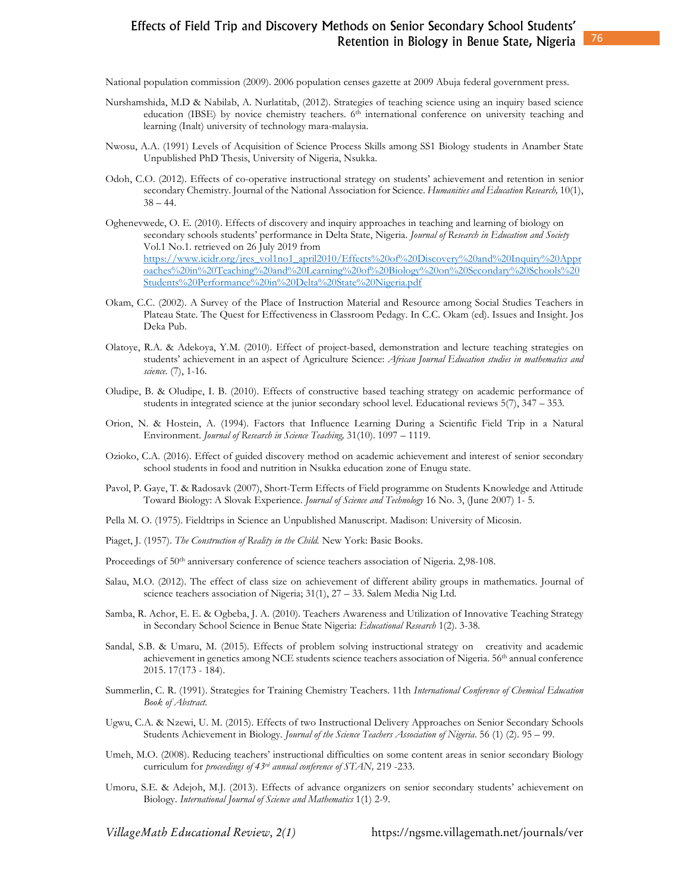National population commission (2009). 2006 population censes gazette at 2009 Abuja federal government press.

- Nurshamshida, M.D & Nabilab, A. Nurlatitab, (2012). Strategies of teaching science using an inquiry based science education (IBSE) by novice chemistry teachers. 6<sup>th</sup> international conference on university teaching and learning (Inalt) university of technology mara-malaysia.
- Nwosu, A.A. (1991) Levels of Acquisition of Science Process Skills among SS1 Biology students in Anamber State Unpublished PhD Thesis, University of Nigeria, Nsukka.
- Odoh, C.O. (2012). Effects of co-operative instructional strategy on students' achievement and retention in senior secondary Chemistry. Journal of the National Association for Science. *Humanities and Education Research,* 10(1),  $38 - 44.$
- Oghenevwede, O. E. (2010). Effects of discovery and inquiry approaches in teaching and learning of biology on secondary schools students' performance in Delta State, Nigeria. *Journal of Research in Education and Society* Vol.1 No.1. retrieved on 26 July 2019 from https://www.icidr.org/jres\_vol1no1\_april2010/Effects%20of%20Discovery%20and%20Inquiry%20Appr oaches%20in%20Teaching%20and%20Learning%20of%20Biology%20on%20Secondary%20Schools%20 Students%20Performance%20in%20Delta%20State%20Nigeria.pdf
- Okam, C.C. (2002). A Survey of the Place of Instruction Material and Resource among Social Studies Teachers in Plateau State. The Quest for Effectiveness in Classroom Pedagy. In C.C. Okam (ed). Issues and Insight. Jos Deka Pub.
- Olatoye, R.A. & Adekoya, Y.M. (2010). Effect of project-based, demonstration and lecture teaching strategies on students' achievement in an aspect of Agriculture Science: *African Journal Education studies in mathematics and science.* (7), 1-16.
- Oludipe, B. & Oludipe, I. B. (2010). Effects of constructive based teaching strategy on academic performance of students in integrated science at the junior secondary school level. Educational reviews 5(7), 347 – 353.
- Orion, N. & Hostein, A. (1994). Factors that Influence Learning During a Scientific Field Trip in a Natural Environment. *Journal of Research in Science Teaching,* 31(10). 1097 – 1119.
- Ozioko, C.A. (2016). Effect of guided discovery method on academic achievement and interest of senior secondary school students in food and nutrition in Nsukka education zone of Enugu state.
- Pavol, P. Gaye, T. & Radosavk (2007), Short-Term Effects of Field programme on Students Knowledge and Attitude Toward Biology: A Slovak Experience. *Journal of Science and Technology* 16 No. 3, (June 2007) 1- 5.
- Pella M. O. (1975). Fieldtrips in Science an Unpublished Manuscript. Madison: University of Micosin.
- Piaget, J. (1957). *The Construction of Reality in the Child.* New York: Basic Books.
- Proceedings of 50<sup>th</sup> anniversary conference of science teachers association of Nigeria. 2,98-108.
- Salau, M.O. (2012). The effect of class size on achievement of different ability groups in mathematics. Journal of science teachers association of Nigeria; 31(1), 27 – 33. Salem Media Nig Ltd.
- Samba, R. Achor, E. E. & Ogbeba, J. A. (2010). Teachers Awareness and Utilization of Innovative Teaching Strategy in Secondary School Science in Benue State Nigeria: *Educational Research* 1(2). 3-38.
- Sandal, S.B. & Umaru, M. (2015). Effects of problem solving instructional strategy on creativity and academic achievement in genetics among NCE students science teachers association of Nigeria. 56th annual conference 2015. 17(173 - 184).
- Summerlin, C. R. (1991). Strategies for Training Chemistry Teachers. 11th *International Conference of Chemical Education Book of Abstract.*
- Ugwu, C.A. & Nzewi, U. M. (2015). Effects of two Instructional Delivery Approaches on Senior Secondary Schools Students Achievement in Biology. *Journal of the Science Teachers Association of Nigeria*. 56 (1) (2). 95 – 99.
- Umeh, M.O. (2008). Reducing teachers' instructional difficulties on some content areas in senior secondary Biology curriculum for *proceedings of 43rd annual conference of STAN,* 219 -233.
- Umoru, S.E. & Adejoh, M.J. (2013). Effects of advance organizers on senior secondary students' achievement on Biology. *International Journal of Science and Mathematics* 1(1) 2-9.